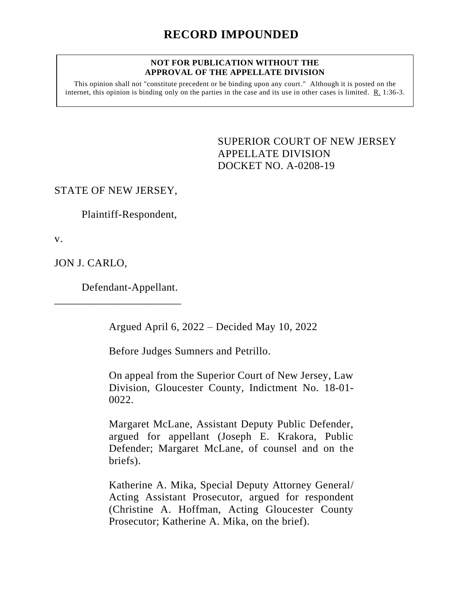#### **NOT FOR PUBLICATION WITHOUT THE APPROVAL OF THE APPELLATE DIVISION**

This opinion shall not "constitute precedent or be binding upon any court." Although it is posted on the internet, this opinion is binding only on the parties in the case and its use in other cases is limited.  $R_1$  1:36-3.

> <span id="page-0-0"></span>SUPERIOR COURT OF NEW JERSEY APPELLATE DIVISION DOCKET NO. A-0208-19

STATE OF NEW JERSEY,

Plaintiff-Respondent,

v.

JON J. CARLO,

Defendant-Appellant.

\_\_\_\_\_\_\_\_\_\_\_\_\_\_\_\_\_\_\_\_\_\_\_

Argued April 6, 2022 – Decided May 10, 2022

Before Judges Sumners and Petrillo.

On appeal from the Superior Court of New Jersey, Law Division, Gloucester County, Indictment No. 18-01- 0022.

Margaret McLane, Assistant Deputy Public Defender, argued for appellant (Joseph E. Krakora, Public Defender; Margaret McLane, of counsel and on the briefs).

Katherine A. Mika, Special Deputy Attorney General/ Acting Assistant Prosecutor, argued for respondent (Christine A. Hoffman, Acting Gloucester County Prosecutor; Katherine A. Mika, on the brief).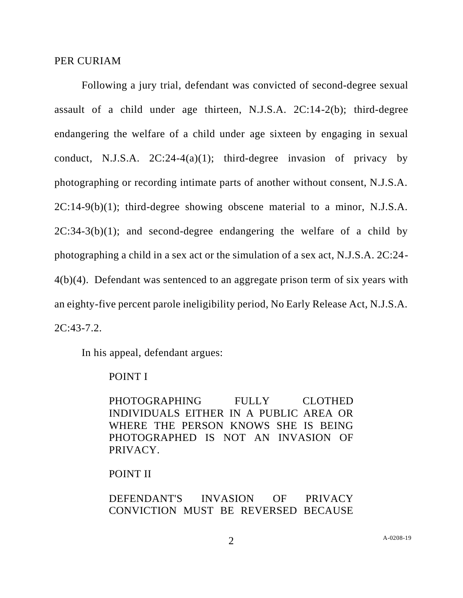#### PER CURIAM

Following a jury trial, defendant was convicted of second-degree sexual assault of a child under age thirteen, N.J.S.A. 2C:14-2(b); third-degree endangering the welfare of a child under age sixteen by engaging in sexual conduct, N.J.S.A.  $2C:24-4(a)(1)$ ; third-degree invasion of privacy by photographing or recording intimate parts of another without consent, N.J.S.A. 2C:14-9(b)(1); third-degree showing obscene material to a minor, N.J.S.A.  $2C:34-3(b)(1)$ ; and second-degree endangering the welfare of a child by photographing a child in a sex act or the simulation of a sex act, N.J.S.A. 2C:24- 4(b)(4). Defendant was sentenced to an aggregate prison term of six years with an eighty-five percent parole ineligibility period, No Early Release Act, N.J.S.A. 2C:43-7.2.

In his appeal, defendant argues:

### POINT I

PHOTOGRAPHING FULLY CLOTHED INDIVIDUALS EITHER IN A PUBLIC AREA OR WHERE THE PERSON KNOWS SHE IS BEING PHOTOGRAPHED IS NOT AN INVASION OF PRIVACY.

# POINT II

DEFENDANT'S INVASION OF PRIVACY CONVICTION MUST BE REVERSED BECAUSE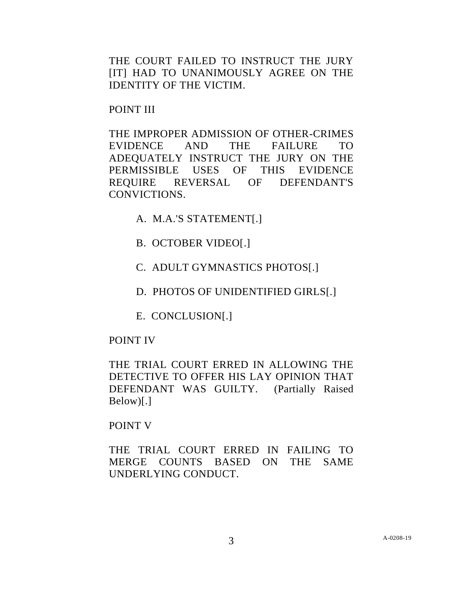THE COURT FAILED TO INSTRUCT THE JURY [IT] HAD TO UNANIMOUSLY AGREE ON THE IDENTITY OF THE VICTIM.

POINT III

THE IMPROPER ADMISSION OF OTHER-CRIMES EVIDENCE AND THE FAILURE TO ADEQUATELY INSTRUCT THE JURY ON THE PERMISSIBLE USES OF THIS EVIDENCE REQUIRE REVERSAL OF DEFENDANT'S CONVICTIONS.

A. M.A.'S STATEMENT[.]

B. OCTOBER VIDEO[.]

C. ADULT GYMNASTICS PHOTOS[.]

D. PHOTOS OF UNIDENTIFIED GIRLS[.]

E. CONCLUSION[.]

# POINT IV

THE TRIAL COURT ERRED IN ALLOWING THE DETECTIVE TO OFFER HIS LAY OPINION THAT DEFENDANT WAS GUILTY. (Partially Raised Below)[.]

# POINT V

THE TRIAL COURT ERRED IN FAILING TO MERGE COUNTS BASED ON THE SAME UNDERLYING CONDUCT.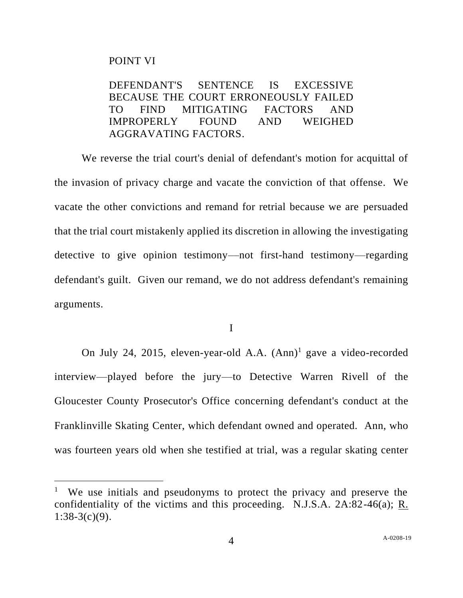### POINT VI

DEFENDANT'S SENTENCE IS EXCESSIVE BECAUSE THE COURT ERRONEOUSLY FAILED TO FIND MITIGATING FACTORS AND IMPROPERLY FOUND AND WEIGHED AGGRAVATING FACTORS.

We reverse the trial court's denial of defendant's motion for acquittal of the invasion of privacy charge and vacate the conviction of that offense. We vacate the other convictions and remand for retrial because we are persuaded that the trial court mistakenly applied its discretion in allowing the investigating detective to give opinion testimony––not first-hand testimony––regarding defendant's guilt. Given our remand, we do not address defendant's remaining arguments.

I

On July 24, 2015, eleven-year-old A.A. (Ann)<sup>1</sup> gave a video-recorded interview––played before the jury––to Detective Warren Rivell of the Gloucester County Prosecutor's Office concerning defendant's conduct at the Franklinville Skating Center, which defendant owned and operated. Ann, who was fourteen years old when she testified at trial, was a regular skating center

<sup>&</sup>lt;sup>1</sup> We use initials and pseudonyms to protect the privacy and preserve the confidentiality of the victims and this proceeding. N.J.S.A. 2A:82-46(a); R.  $1:38-3(c)(9)$ .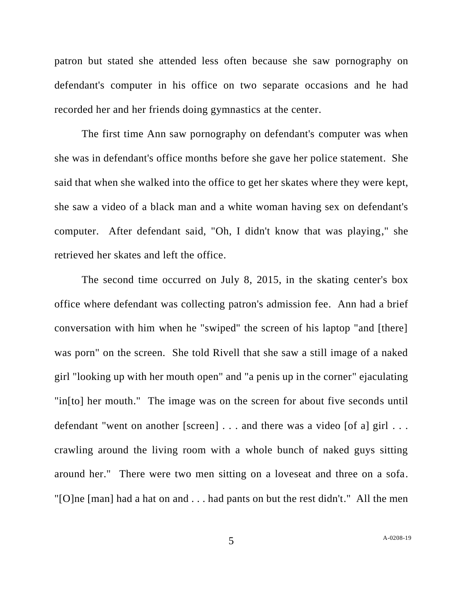patron but stated she attended less often because she saw pornography on defendant's computer in his office on two separate occasions and he had recorded her and her friends doing gymnastics at the center.

The first time Ann saw pornography on defendant's computer was when she was in defendant's office months before she gave her police statement. She said that when she walked into the office to get her skates where they were kept, she saw a video of a black man and a white woman having sex on defendant's computer. After defendant said, "Oh, I didn't know that was playing," she retrieved her skates and left the office.

The second time occurred on July 8, 2015, in the skating center's box office where defendant was collecting patron's admission fee. Ann had a brief conversation with him when he "swiped" the screen of his laptop "and [there] was porn" on the screen. She told Rivell that she saw a still image of a naked girl "looking up with her mouth open" and "a penis up in the corner" ejaculating "in[to] her mouth." The image was on the screen for about five seconds until defendant "went on another [screen] . . . and there was a video [of a] girl . . . crawling around the living room with a whole bunch of naked guys sitting around her." There were two men sitting on a loveseat and three on a sofa. "[O]ne [man] had a hat on and . . . had pants on but the rest didn't." All the men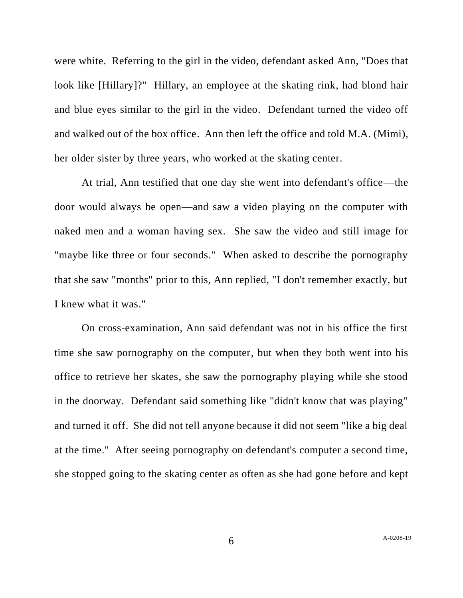were white. Referring to the girl in the video, defendant asked Ann, "Does that look like [Hillary]?" Hillary, an employee at the skating rink, had blond hair and blue eyes similar to the girl in the video. Defendant turned the video off and walked out of the box office. Ann then left the office and told M.A. (Mimi), her older sister by three years, who worked at the skating center.

At trial, Ann testified that one day she went into defendant's office––the door would always be open––and saw a video playing on the computer with naked men and a woman having sex. She saw the video and still image for "maybe like three or four seconds." When asked to describe the pornography that she saw "months" prior to this, Ann replied, "I don't remember exactly, but I knew what it was."

On cross-examination, Ann said defendant was not in his office the first time she saw pornography on the computer, but when they both went into his office to retrieve her skates, she saw the pornography playing while she stood in the doorway. Defendant said something like "didn't know that was playing" and turned it off. She did not tell anyone because it did not seem "like a big deal at the time." After seeing pornography on defendant's computer a second time, she stopped going to the skating center as often as she had gone before and kept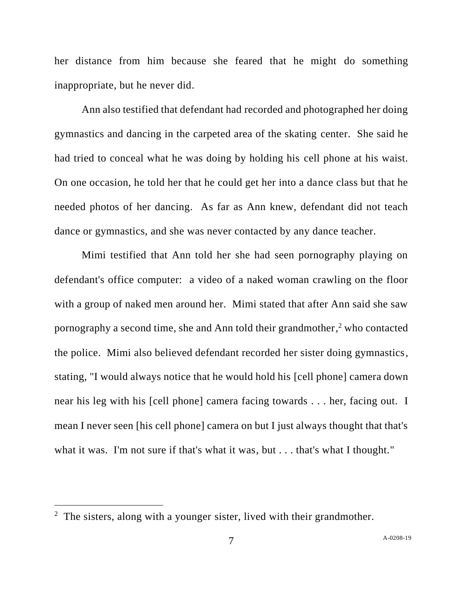her distance from him because she feared that he might do something inappropriate, but he never did.

Ann also testified that defendant had recorded and photographed her doing gymnastics and dancing in the carpeted area of the skating center. She said he had tried to conceal what he was doing by holding his cell phone at his waist. On one occasion, he told her that he could get her into a dance class but that he needed photos of her dancing. As far as Ann knew, defendant did not teach dance or gymnastics, and she was never contacted by any dance teacher.

Mimi testified that Ann told her she had seen pornography playing on defendant's office computer: a video of a naked woman crawling on the floor with a group of naked men around her. Mimi stated that after Ann said she saw pornography a second time, she and Ann told their grandmother, <sup>2</sup> who contacted the police. Mimi also believed defendant recorded her sister doing gymnastics, stating, "I would always notice that he would hold his [cell phone] camera down near his leg with his [cell phone] camera facing towards . . . her, facing out. I mean I never seen [his cell phone] camera on but I just always thought that that's what it was. I'm not sure if that's what it was, but . . . that's what I thought."

 $2$  The sisters, along with a younger sister, lived with their grandmother.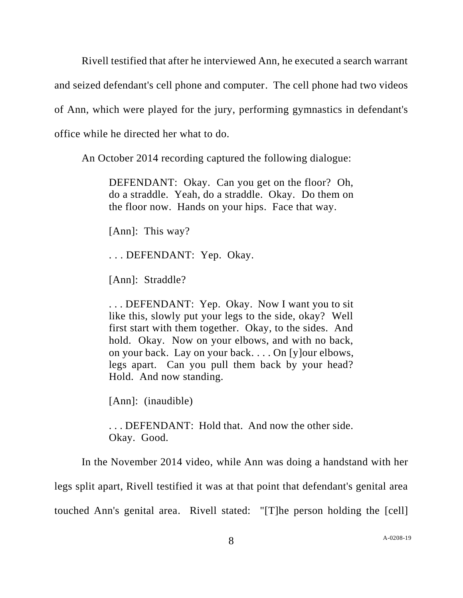Rivell testified that after he interviewed Ann, he executed a search warrant and seized defendant's cell phone and computer. The cell phone had two videos of Ann, which were played for the jury, performing gymnastics in defendant's office while he directed her what to do.

An October 2014 recording captured the following dialogue:

DEFENDANT: Okay. Can you get on the floor? Oh, do a straddle. Yeah, do a straddle. Okay. Do them on the floor now. Hands on your hips. Face that way.

[Ann]: This way?

. . . DEFENDANT: Yep. Okay.

[Ann]: Straddle?

. . . DEFENDANT: Yep. Okay. Now I want you to sit like this, slowly put your legs to the side, okay? Well first start with them together. Okay, to the sides. And hold. Okay. Now on your elbows, and with no back, on your back. Lay on your back. . . . On [y]our elbows, legs apart. Can you pull them back by your head? Hold. And now standing.

[Ann]: (inaudible)

. . . DEFENDANT: Hold that. And now the other side. Okay. Good.

In the November 2014 video, while Ann was doing a handstand with her

legs split apart, Rivell testified it was at that point that defendant's genital area

touched Ann's genital area. Rivell stated: "[T]he person holding the [cell]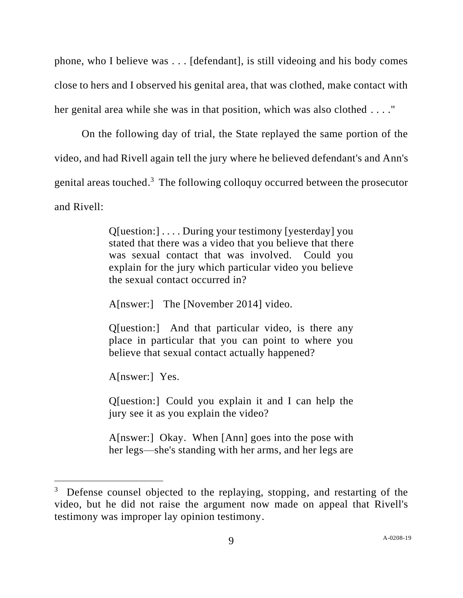phone, who I believe was . . . [defendant], is still videoing and his body comes close to hers and I observed his genital area, that was clothed, make contact with her genital area while she was in that position, which was also clothed . . . ."

On the following day of trial, the State replayed the same portion of the video, and had Rivell again tell the jury where he believed defendant's and Ann's genital areas touched.<sup>3</sup> The following colloquy occurred between the prosecutor and Rivell:

> Q[uestion:] . . . . During your testimony [yesterday] you stated that there was a video that you believe that there was sexual contact that was involved. Could you explain for the jury which particular video you believe the sexual contact occurred in?

A[nswer:] The [November 2014] video.

Q[uestion:] And that particular video, is there any place in particular that you can point to where you believe that sexual contact actually happened?

A[nswer:] Yes.

Q[uestion:] Could you explain it and I can help the jury see it as you explain the video?

A[nswer:] Okay. When [Ann] goes into the pose with her legs—she's standing with her arms, and her legs are

<sup>&</sup>lt;sup>3</sup> Defense counsel objected to the replaying, stopping, and restarting of the video, but he did not raise the argument now made on appeal that Rivell's testimony was improper lay opinion testimony.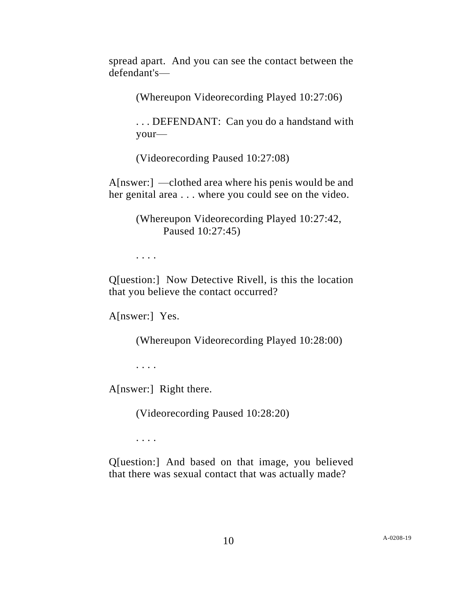spread apart. And you can see the contact between the defendant's—

(Whereupon Videorecording Played 10:27:06)

. . . DEFENDANT: Can you do a handstand with your—

(Videorecording Paused 10:27:08)

A[nswer:] —clothed area where his penis would be and her genital area . . . where you could see on the video.

> (Whereupon Videorecording Played 10:27:42, Paused 10:27:45)

. . . .

Q[uestion:] Now Detective Rivell, is this the location that you believe the contact occurred?

A[nswer:] Yes.

(Whereupon Videorecording Played 10:28:00)

. . . .

A[nswer:] Right there.

(Videorecording Paused 10:28:20)

. . . .

Q[uestion:] And based on that image, you believed that there was sexual contact that was actually made?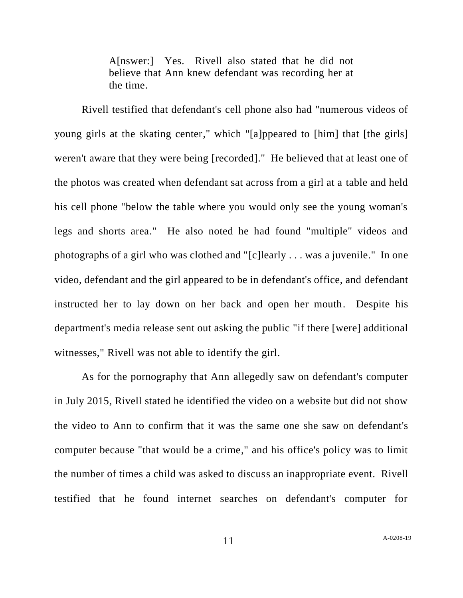A[nswer:] Yes. Rivell also stated that he did not believe that Ann knew defendant was recording her at the time.

Rivell testified that defendant's cell phone also had "numerous videos of young girls at the skating center," which "[a]ppeared to [him] that [the girls] weren't aware that they were being [recorded]." He believed that at least one of the photos was created when defendant sat across from a girl at a table and held his cell phone "below the table where you would only see the young woman's legs and shorts area." He also noted he had found "multiple" videos and photographs of a girl who was clothed and "[c]learly . . . was a juvenile." In one video, defendant and the girl appeared to be in defendant's office, and defendant instructed her to lay down on her back and open her mouth. Despite his department's media release sent out asking the public "if there [were] additional witnesses," Rivell was not able to identify the girl.

As for the pornography that Ann allegedly saw on defendant's computer in July 2015, Rivell stated he identified the video on a website but did not show the video to Ann to confirm that it was the same one she saw on defendant's computer because "that would be a crime," and his office's policy was to limit the number of times a child was asked to discuss an inappropriate event. Rivell testified that he found internet searches on defendant's computer for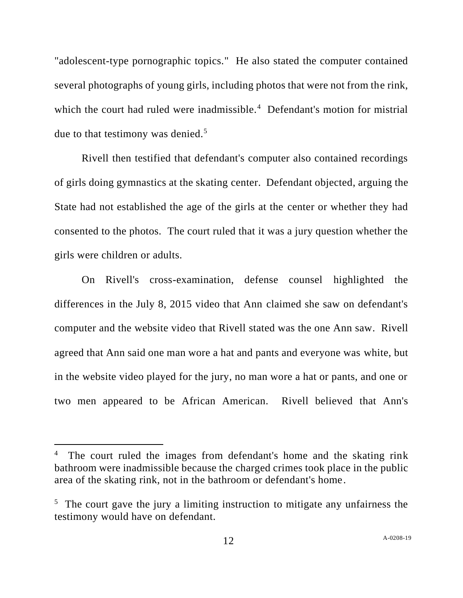"adolescent-type pornographic topics." He also stated the computer contained several photographs of young girls, including photos that were not from the rink, which the court had ruled were inadmissible.<sup>4</sup> Defendant's motion for mistrial due to that testimony was denied.<sup>5</sup>

Rivell then testified that defendant's computer also contained recordings of girls doing gymnastics at the skating center. Defendant objected, arguing the State had not established the age of the girls at the center or whether they had consented to the photos. The court ruled that it was a jury question whether the girls were children or adults.

On Rivell's cross-examination, defense counsel highlighted the differences in the July 8, 2015 video that Ann claimed she saw on defendant's computer and the website video that Rivell stated was the one Ann saw. Rivell agreed that Ann said one man wore a hat and pants and everyone was white, but in the website video played for the jury, no man wore a hat or pants, and one or two men appeared to be African American. Rivell believed that Ann's

<sup>4</sup> The court ruled the images from defendant's home and the skating rink bathroom were inadmissible because the charged crimes took place in the public area of the skating rink, not in the bathroom or defendant's home.

<sup>&</sup>lt;sup>5</sup> The court gave the jury a limiting instruction to mitigate any unfairness the testimony would have on defendant.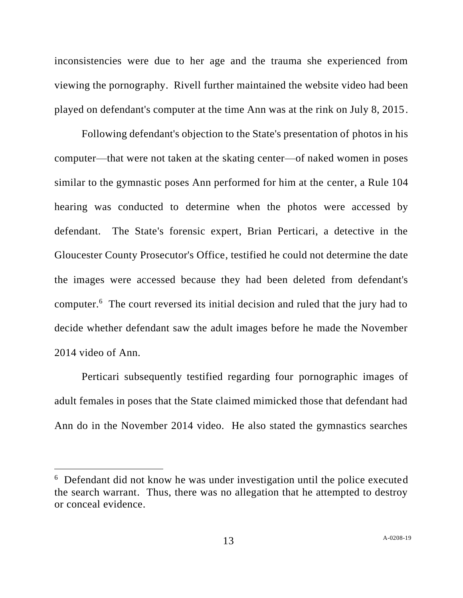inconsistencies were due to her age and the trauma she experienced from viewing the pornography. Rivell further maintained the website video had been played on defendant's computer at the time Ann was at the rink on July 8, 2015.

Following defendant's objection to the State's presentation of photos in his computer—that were not taken at the skating center—of naked women in poses similar to the gymnastic poses Ann performed for him at the center, a Rule 104 hearing was conducted to determine when the photos were accessed by defendant. The State's forensic expert, Brian Perticari, a detective in the Gloucester County Prosecutor's Office, testified he could not determine the date the images were accessed because they had been deleted from defendant's computer.<sup>6</sup> The court reversed its initial decision and ruled that the jury had to decide whether defendant saw the adult images before he made the November 2014 video of Ann.

Perticari subsequently testified regarding four pornographic images of adult females in poses that the State claimed mimicked those that defendant had Ann do in the November 2014 video. He also stated the gymnastics searches

<sup>&</sup>lt;sup>6</sup> Defendant did not know he was under investigation until the police executed the search warrant. Thus, there was no allegation that he attempted to destroy or conceal evidence.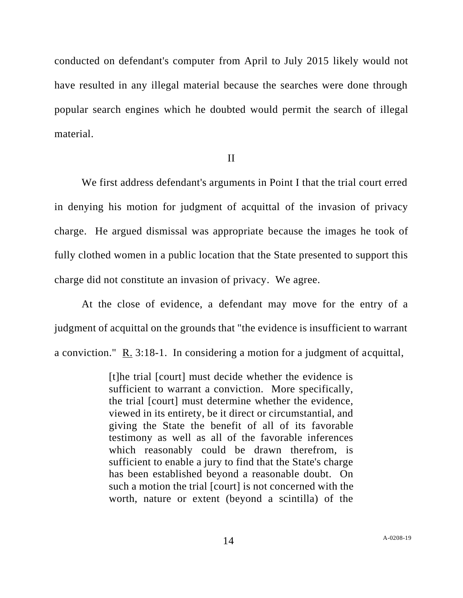conducted on defendant's computer from April to July 2015 likely would not have resulted in any illegal material because the searches were done through popular search engines which he doubted would permit the search of illegal material.

### II

We first address defendant's arguments in Point I that the trial court erred in denying his motion for judgment of acquittal of the invasion of privacy charge. He argued dismissal was appropriate because the images he took of fully clothed women in a public location that the State presented to support this charge did not constitute an invasion of privacy. We agree.

At the close of evidence, a defendant may move for the entry of a judgment of acquittal on the grounds that "the evidence is insufficient to warrant a conviction." R. 3:18-1. In considering a motion for a judgment of acquittal,

> [t]he trial [court] must decide whether the evidence is sufficient to warrant a conviction. More specifically, the trial [court] must determine whether the evidence, viewed in its entirety, be it direct or circumstantial, and giving the State the benefit of all of its favorable testimony as well as all of the favorable inferences which reasonably could be drawn therefrom, is sufficient to enable a jury to find that the State's charge has been established beyond a reasonable doubt. On such a motion the trial [court] is not concerned with the worth, nature or extent (beyond a scintilla) of the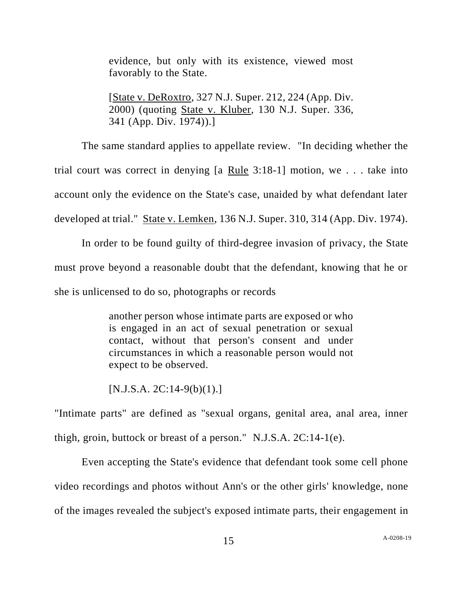evidence, but only with its existence, viewed most favorably to the State.

[State v. DeRoxtro, 327 N.J. Super. 212, 224 (App. Div. 2000) (quoting State v. Kluber, 130 N.J. Super. 336, 341 (App. Div. 1974)).]

The same standard applies to appellate review. "In deciding whether the trial court was correct in denying [a Rule 3:18-1] motion, we . . . take into account only the evidence on the State's case, unaided by what defendant later developed at trial." State v. Lemken, 136 N.J. Super. 310, 314 (App. Div. 1974).

In order to be found guilty of third-degree invasion of privacy, the State must prove beyond a reasonable doubt that the defendant, knowing that he or she is unlicensed to do so, photographs or records

> another person whose intimate parts are exposed or who is engaged in an act of sexual penetration or sexual contact, without that person's consent and under circumstances in which a reasonable person would not expect to be observed.

 $[N.J.S.A. 2C:14-9(b)(1).]$ 

"Intimate parts" are defined as "sexual organs, genital area, anal area, inner thigh, groin, buttock or breast of a person." N.J.S.A. 2C:14-1(e).

Even accepting the State's evidence that defendant took some cell phone video recordings and photos without Ann's or the other girls' knowledge, none of the images revealed the subject's exposed intimate parts, their engagement in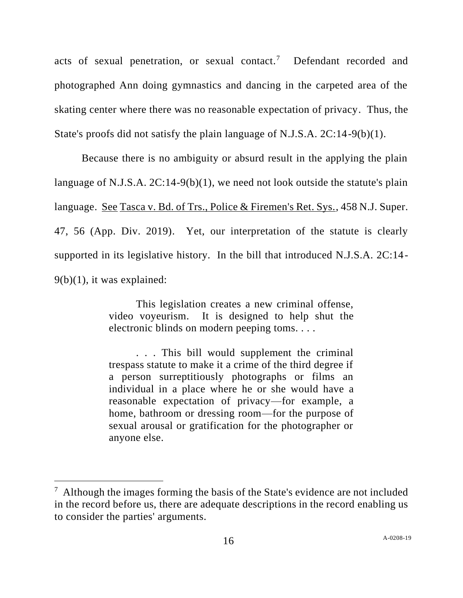acts of sexual penetration, or sexual contact.<sup>7</sup> Defendant recorded and photographed Ann doing gymnastics and dancing in the carpeted area of the skating center where there was no reasonable expectation of privacy. Thus, the State's proofs did not satisfy the plain language of N.J.S.A. 2C:14-9(b)(1).

Because there is no ambiguity or absurd result in the applying the plain language of N.J.S.A. 2C:14-9(b)(1), we need not look outside the statute's plain language. See Tasca v. Bd. of Trs., Police & Firemen's Ret. Sys., 458 N.J. Super. 47, 56 (App. Div. 2019). Yet, our interpretation of the statute is clearly supported in its legislative history. In the bill that introduced N.J.S.A. 2C:14-  $9(b)(1)$ , it was explained:

> This legislation creates a new criminal offense, video voyeurism. It is designed to help shut the electronic blinds on modern peeping toms. . . .

> . . . This bill would supplement the criminal trespass statute to make it a crime of the third degree if a person surreptitiously photographs or films an individual in a place where he or she would have a reasonable expectation of privacy—for example, a home, bathroom or dressing room—for the purpose of sexual arousal or gratification for the photographer or anyone else.

 $7$  Although the images forming the basis of the State's evidence are not included in the record before us, there are adequate descriptions in the record enabling us to consider the parties' arguments.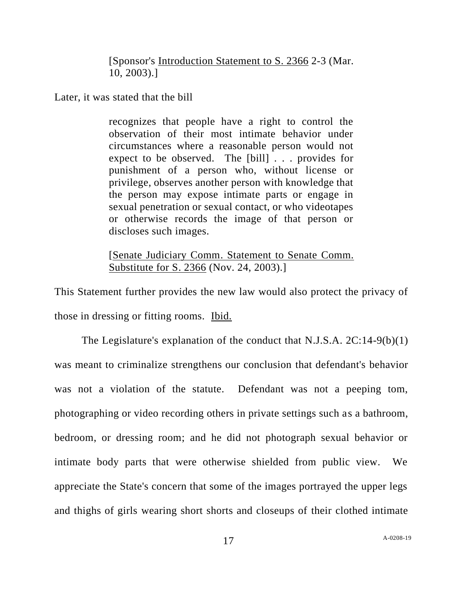[Sponsor's Introduction Statement to S. 2366 2-3 (Mar. 10, 2003).]

Later, it was stated that the bill

recognizes that people have a right to control the observation of their most intimate behavior under circumstances where a reasonable person would not expect to be observed. The [bill] . . . provides for punishment of a person who, without license or privilege, observes another person with knowledge that the person may expose intimate parts or engage in sexual penetration or sexual contact, or who videotapes or otherwise records the image of that person or discloses such images.

[Senate Judiciary Comm. Statement to Senate Comm. Substitute for S. 2366 (Nov. 24, 2003).]

This Statement further provides the new law would also protect the privacy of those in dressing or fitting rooms. Ibid.

The Legislature's explanation of the conduct that N.J.S.A. 2C:14-9(b)(1) was meant to criminalize strengthens our conclusion that defendant's behavior was not a violation of the statute. Defendant was not a peeping tom, photographing or video recording others in private settings such as a bathroom, bedroom, or dressing room; and he did not photograph sexual behavior or intimate body parts that were otherwise shielded from public view. We appreciate the State's concern that some of the images portrayed the upper legs and thighs of girls wearing short shorts and closeups of their clothed intimate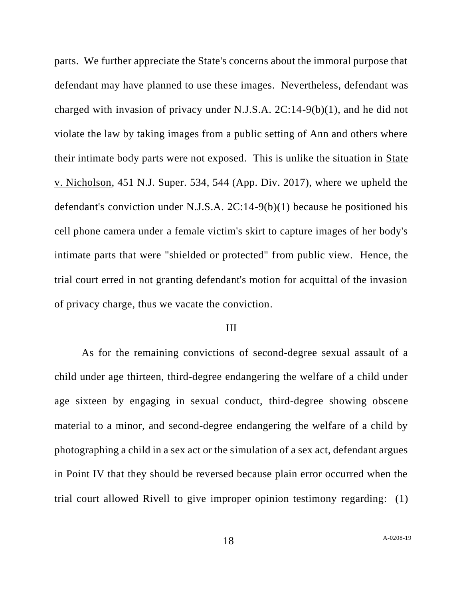parts. We further appreciate the State's concerns about the immoral purpose that defendant may have planned to use these images. Nevertheless, defendant was charged with invasion of privacy under N.J.S.A. 2C:14-9(b)(1), and he did not violate the law by taking images from a public setting of Ann and others where their intimate body parts were not exposed. This is unlike the situation in State v. Nicholson, 451 N.J. Super. 534, 544 (App. Div. 2017), where we upheld the defendant's conviction under N.J.S.A. 2C:14-9(b)(1) because he positioned his cell phone camera under a female victim's skirt to capture images of her body's intimate parts that were "shielded or protected" from public view. Hence, the trial court erred in not granting defendant's motion for acquittal of the invasion of privacy charge, thus we vacate the conviction.

#### III

As for the remaining convictions of second-degree sexual assault of a child under age thirteen, third-degree endangering the welfare of a child under age sixteen by engaging in sexual conduct, third-degree showing obscene material to a minor, and second-degree endangering the welfare of a child by photographing a child in a sex act or the simulation of a sex act, defendant argues in Point IV that they should be reversed because plain error occurred when the trial court allowed Rivell to give improper opinion testimony regarding: (1)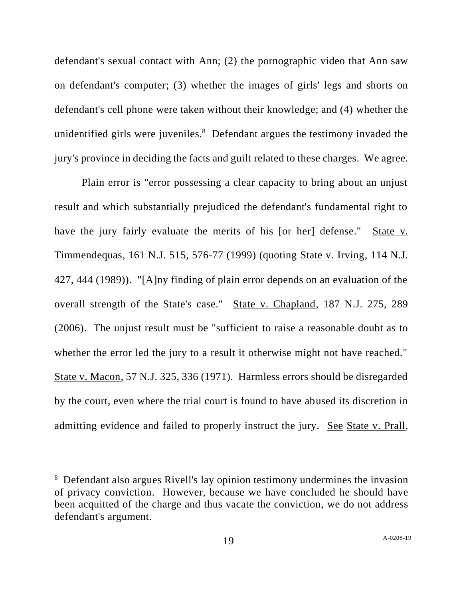defendant's sexual contact with Ann; (2) the pornographic video that Ann saw on defendant's computer; (3) whether the images of girls' legs and shorts on defendant's cell phone were taken without their knowledge; and (4) whether the unidentified girls were juveniles.<sup>8</sup> Defendant argues the testimony invaded the jury's province in deciding the facts and guilt related to these charges. We agree.

Plain error is "error possessing a clear capacity to bring about an unjust result and which substantially prejudiced the defendant's fundamental right to have the jury fairly evaluate the merits of his [or her] defense." State v. Timmendequas, 161 N.J. 515, 576-77 (1999) (quoting State v. Irving, 114 N.J. 427, 444 (1989)). "[A]ny finding of plain error depends on an evaluation of the overall strength of the State's case." State v. Chapland, 187 N.J. 275, 289 (2006). The unjust result must be "sufficient to raise a reasonable doubt as to whether the error led the jury to a result it otherwise might not have reached." State v. Macon, 57 N.J. 325, 336 (1971). Harmless errors should be disregarded by the court, even where the trial court is found to have abused its discretion in admitting evidence and failed to properly instruct the jury. See State v. Prall,

<sup>&</sup>lt;sup>8</sup> Defendant also argues Rivell's lay opinion testimony undermines the invasion of privacy conviction. However, because we have concluded he should have been acquitted of the charge and thus vacate the conviction, we do not address defendant's argument.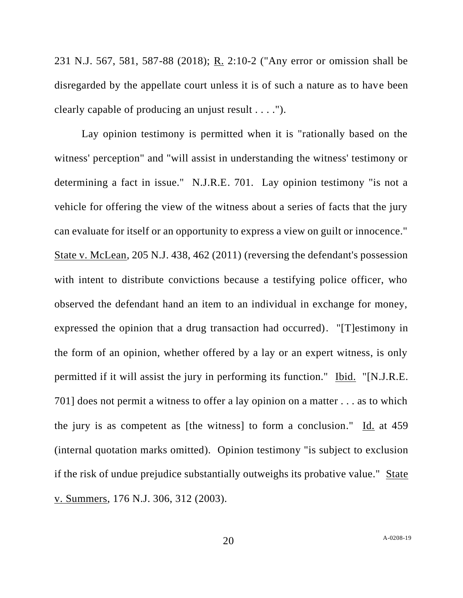231 N.J. 567, 581, 587-88 (2018); R. 2:10-2 ("Any error or omission shall be disregarded by the appellate court unless it is of such a nature as to have been clearly capable of producing an unjust result . . . .").

Lay opinion testimony is permitted when it is "rationally based on the witness' perception" and "will assist in understanding the witness' testimony or determining a fact in issue." N.J.R.E. 701. Lay opinion testimony "is not a vehicle for offering the view of the witness about a series of facts that the jury can evaluate for itself or an opportunity to express a view on guilt or innocence." State v. McLean, 205 N.J. 438, 462 (2011) (reversing the defendant's possession with intent to distribute convictions because a testifying police officer, who observed the defendant hand an item to an individual in exchange for money, expressed the opinion that a drug transaction had occurred). "[T]estimony in the form of an opinion, whether offered by a lay or an expert witness, is only permitted if it will assist the jury in performing its function." Ibid. "[N.J.R.E. 701] does not permit a witness to offer a lay opinion on a matter . . . as to which the jury is as competent as [the witness] to form a conclusion."  $\underline{Id}$  at 459 (internal quotation marks omitted). Opinion testimony "is subject to exclusion if the risk of undue prejudice substantially outweighs its probative value." State v. Summers, 176 N.J. 306, 312 (2003).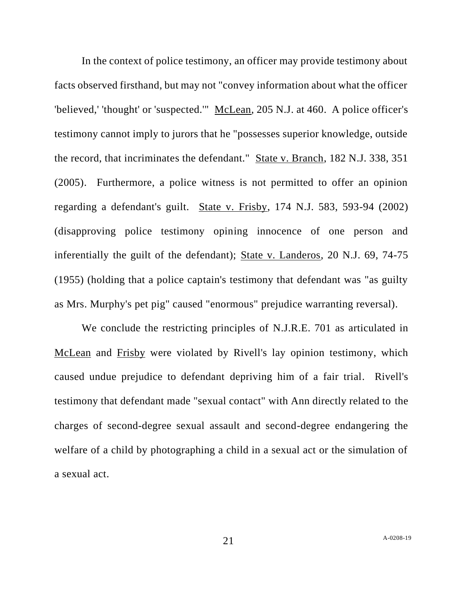In the context of police testimony, an officer may provide testimony about facts observed firsthand, but may not "convey information about what the officer 'believed,' 'thought' or 'suspected.'" McLean, 205 N.J. at 460. A police officer's testimony cannot imply to jurors that he "possesses superior knowledge, outside the record, that incriminates the defendant." State v. Branch, 182 N.J. 338, 351 (2005). Furthermore, a police witness is not permitted to offer an opinion regarding a defendant's guilt. State v. Frisby, 174 N.J. 583, 593-94 (2002) (disapproving police testimony opining innocence of one person and inferentially the guilt of the defendant); State v. Landeros, 20 N.J. 69, 74-75 (1955) (holding that a police captain's testimony that defendant was "as guilty as Mrs. Murphy's pet pig" caused "enormous" prejudice warranting reversal).

We conclude the restricting principles of N.J.R.E. 701 as articulated in McLean and Frisby were violated by Rivell's lay opinion testimony, which caused undue prejudice to defendant depriving him of a fair trial. Rivell's testimony that defendant made "sexual contact" with Ann directly related to the charges of second-degree sexual assault and second-degree endangering the welfare of a child by photographing a child in a sexual act or the simulation of a sexual act.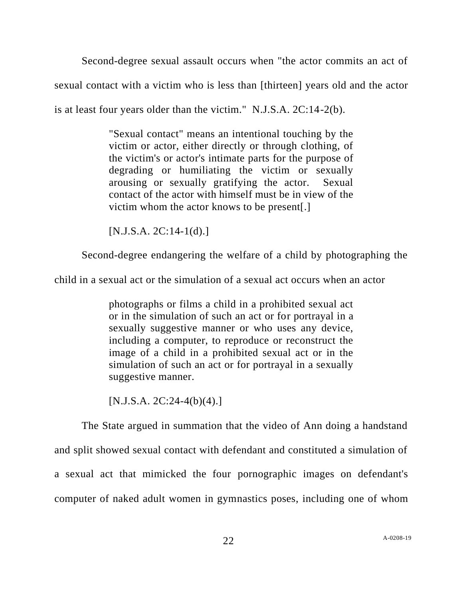Second-degree sexual assault occurs when "the actor commits an act of sexual contact with a victim who is less than [thirteen] years old and the actor is at least four years older than the victim." N.J.S.A. 2C:14-2(b).

> "Sexual contact" means an intentional touching by the victim or actor, either directly or through clothing, of the victim's or actor's intimate parts for the purpose of degrading or humiliating the victim or sexually arousing or sexually gratifying the actor. Sexual contact of the actor with himself must be in view of the victim whom the actor knows to be present[.]

 $[N.J.S.A. 2C:14-1(d).]$ 

Second-degree endangering the welfare of a child by photographing the

child in a sexual act or the simulation of a sexual act occurs when an actor

photographs or films a child in a prohibited sexual act or in the simulation of such an act or for portrayal in a sexually suggestive manner or who uses any device, including a computer, to reproduce or reconstruct the image of a child in a prohibited sexual act or in the simulation of such an act or for portrayal in a sexually suggestive manner.

 $[N.J.S.A. 2C:24-4(b)(4).]$ 

The State argued in summation that the video of Ann doing a handstand and split showed sexual contact with defendant and constituted a simulation of a sexual act that mimicked the four pornographic images on defendant's computer of naked adult women in gymnastics poses, including one of whom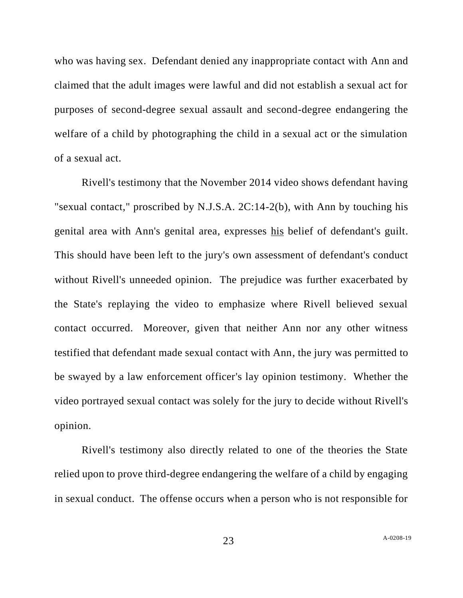who was having sex. Defendant denied any inappropriate contact with Ann and claimed that the adult images were lawful and did not establish a sexual act for purposes of second-degree sexual assault and second-degree endangering the welfare of a child by photographing the child in a sexual act or the simulation of a sexual act.

Rivell's testimony that the November 2014 video shows defendant having "sexual contact," proscribed by N.J.S.A. 2C:14-2(b), with Ann by touching his genital area with Ann's genital area, expresses his belief of defendant's guilt. This should have been left to the jury's own assessment of defendant's conduct without Rivell's unneeded opinion. The prejudice was further exacerbated by the State's replaying the video to emphasize where Rivell believed sexual contact occurred. Moreover, given that neither Ann nor any other witness testified that defendant made sexual contact with Ann, the jury was permitted to be swayed by a law enforcement officer's lay opinion testimony. Whether the video portrayed sexual contact was solely for the jury to decide without Rivell's opinion.

Rivell's testimony also directly related to one of the theories the State relied upon to prove third-degree endangering the welfare of a child by engaging in sexual conduct. The offense occurs when a person who is not responsible for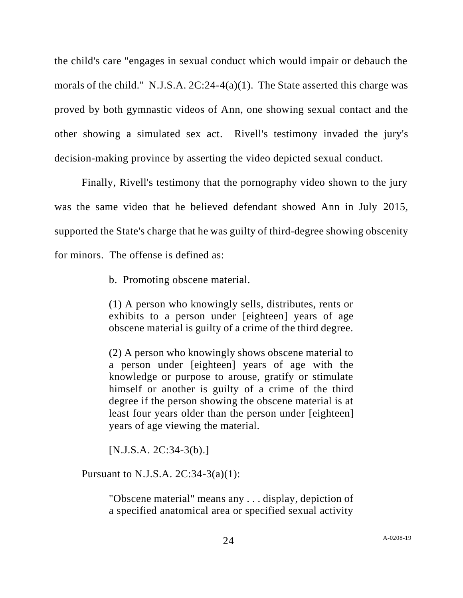the child's care "engages in sexual conduct which would impair or debauch the morals of the child." N.J.S.A. 2C:24-4(a)(1). The State asserted this charge was proved by both gymnastic videos of Ann, one showing sexual contact and the other showing a simulated sex act. Rivell's testimony invaded the jury's decision-making province by asserting the video depicted sexual conduct.

Finally, Rivell's testimony that the pornography video shown to the jury was the same video that he believed defendant showed Ann in July 2015, supported the State's charge that he was guilty of third-degree showing obscenity for minors. The offense is defined as:

b. Promoting obscene material.

(1) A person who knowingly sells, distributes, rents or exhibits to a person under [eighteen] years of age obscene material is guilty of a crime of the third degree.

(2) A person who knowingly shows obscene material to a person under [eighteen] years of age with the knowledge or purpose to arouse, gratify or stimulate himself or another is guilty of a crime of the third degree if the person showing the obscene material is at least four years older than the person under [eighteen] years of age viewing the material.

[N.J.S.A. 2C:34-3(b).]

Pursuant to N.J.S.A. 2C:34-3(a)(1):

"Obscene material" means any . . . display, depiction of a specified anatomical area or specified sexual activity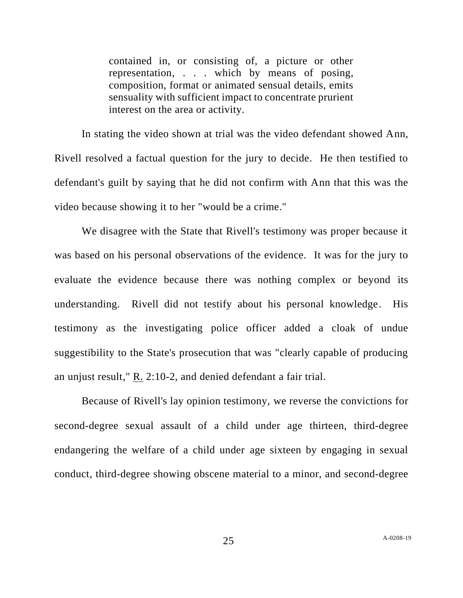contained in, or consisting of, a picture or other representation, . . . which by means of posing, composition, format or animated sensual details, emits sensuality with sufficient impact to concentrate prurient interest on the area or activity.

In stating the video shown at trial was the video defendant showed Ann, Rivell resolved a factual question for the jury to decide. He then testified to defendant's guilt by saying that he did not confirm with Ann that this was the video because showing it to her "would be a crime."

We disagree with the State that Rivell's testimony was proper because it was based on his personal observations of the evidence. It was for the jury to evaluate the evidence because there was nothing complex or beyond its understanding. Rivell did not testify about his personal knowledge. His testimony as the investigating police officer added a cloak of undue suggestibility to the State's prosecution that was "clearly capable of producing an unjust result,"  $R_2$ . 2:10-2, and denied defendant a fair trial.

Because of Rivell's lay opinion testimony, we reverse the convictions for second-degree sexual assault of a child under age thirteen, third-degree endangering the welfare of a child under age sixteen by engaging in sexual conduct, third-degree showing obscene material to a minor, and second-degree